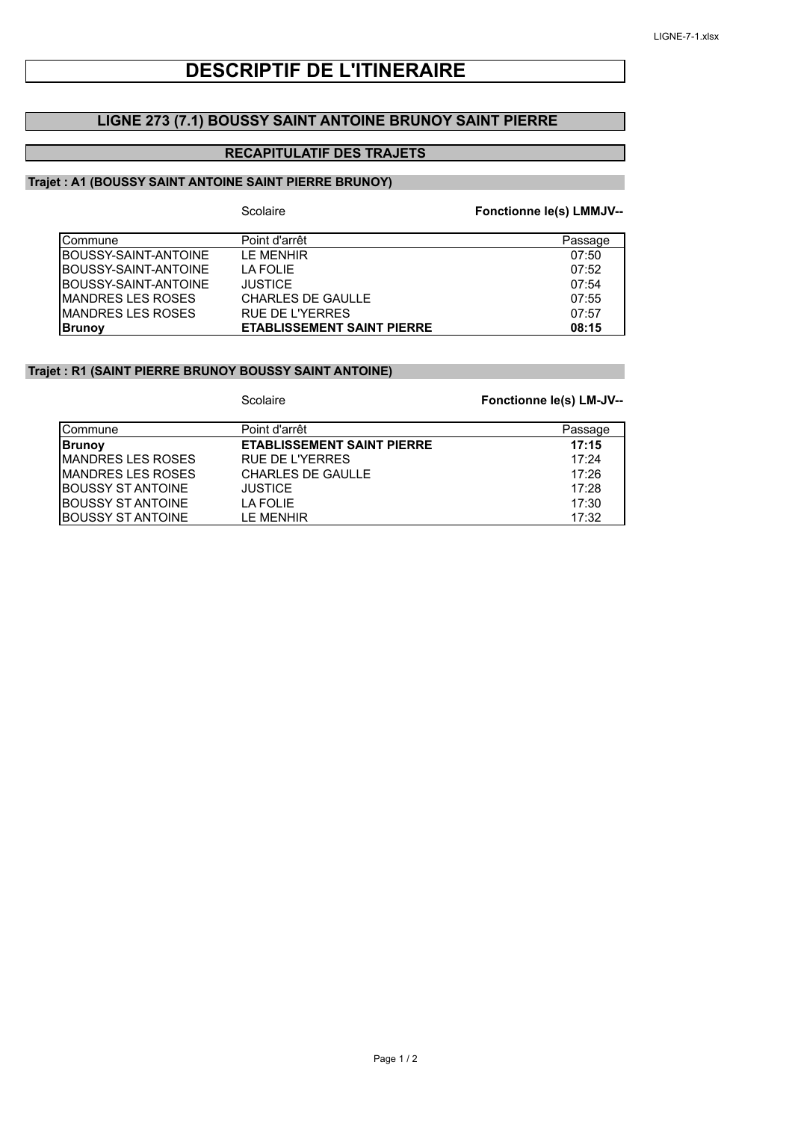# **DESCRIPTIF DE L'ITINERAIRE**

## **LIGNE 273 (7.1) BOUSSY SAINT ANTOINE BRUNOY SAINT PIERRE**

## **RECAPITULATIF DES TRAJETS**

### **Trajet : A1 (BOUSSY SAINT ANTOINE SAINT PIERRE BRUNOY)**

|                          | Scolaire                          | Fonctionne le(s) LMMJV-- |
|--------------------------|-----------------------------------|--------------------------|
| Commune                  | Point d'arrêt                     | Passage                  |
| BOUSSY-SAINT-ANTOINE     | <b>IF MENHIR</b>                  | 07:50                    |
| BOUSSY-SAINT-ANTOINE     | I A FOI IF                        | 07:52                    |
| BOUSSY-SAINT-ANTOINE     | <b>JUSTICE</b>                    | 07:54                    |
| <b>MANDRES LES ROSES</b> | <b>CHARLES DE GAULLE</b>          | 07:55                    |
| <b>MANDRES LES ROSES</b> | <b>RUE DE L'YERRES</b>            | 07:57                    |
| <b>Brunov</b>            | <b>ETABLISSEMENT SAINT PIERRE</b> | 08:15                    |

#### **Trajet : R1 (SAINT PIERRE BRUNOY BOUSSY SAINT ANTOINE)**

Scolaire

#### **Fonctionne le(s) LM-JV--**

| <b>ICommune</b>           | Point d'arrêt                     | Passage |
|---------------------------|-----------------------------------|---------|
| <b>Brunov</b>             | <b>ETABLISSEMENT SAINT PIERRE</b> | 17:15   |
| <b>IMANDRES LES ROSES</b> | RUE DE L'YERRES                   | 17:24   |
| <b>IMANDRES LES ROSES</b> | <b>CHARLES DE GAULLE</b>          | 17:26   |
| <b>IBOUSSY ST ANTOINE</b> | <b>JUSTICE</b>                    | 17:28   |
| <b>IBOUSSY ST ANTOINE</b> | LA FOLIE                          | 17:30   |
| <b>IBOUSSY ST ANTOINE</b> | I F MFNHIR                        | 17:32   |